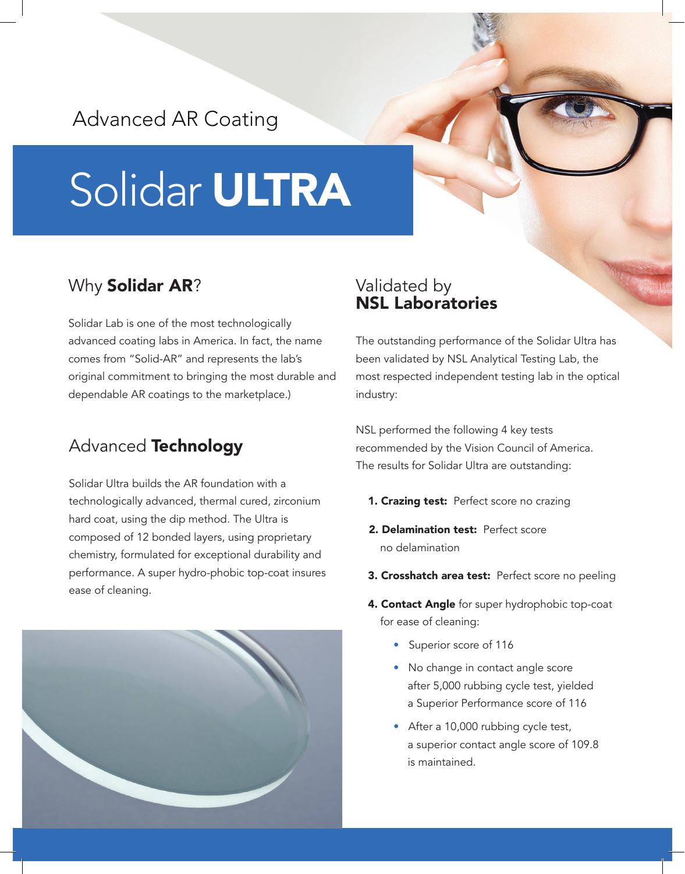# Advanced AR Coating

# Solidar ULTRA

# Why Solidar AR?

Solidar Lab is one of the most technologically advanced coating labs in America. In fact, the name comes from "Solid-AR" and represents the lab's original commitment to bringing the most durable and dependable AR coatings to the marketplace.)

# Advanced Technology

Solidar Ultra builds the AR foundation with a technologically advanced, thermal cured, zirconium hard coat, using the dip method. The Ultra is composed of 12 bonded layers, using proprietary chemistry, formulated for exceptional durability and performance. A super hydro-phobic top-coat insures ease of cleaning.



#### Validated by NSL Laboratories

The outstanding performance of the Solidar Ultra has been validated by NSL Analytical Testing Lab, the most respected independent testing lab in the optical industry:

NSL performed the following 4 key tests recommended by the Vision Council of America. The results for Solidar Ultra are outstanding:

- 1. Crazing test: Perfect score no crazing
- 2. Delamination test: Perfect score no delamination
- 3. Crosshatch area test: Perfect score no peeling
- 4. Contact Angle for super hydrophobic top-coat for ease of cleaning:
	- Superior score of 116
	- No change in contact angle score after 5,000 rubbing cycle test, yielded a Superior Performance score of 116
	- After a 10,000 rubbing cycle test, a superior contact angle score of 109.8 is maintained.